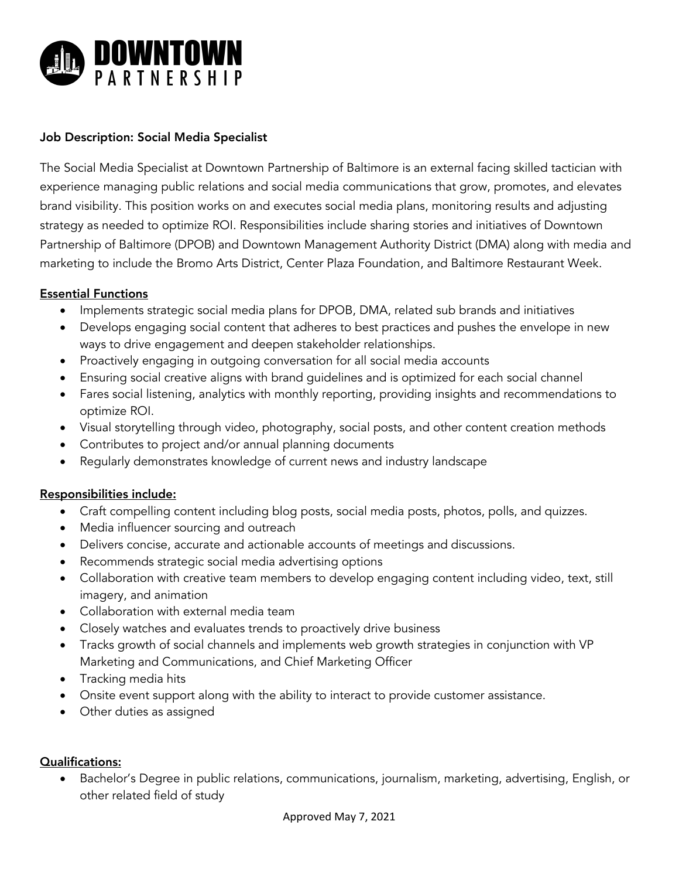

## Job Description: Social Media Specialist

The Social Media Specialist at Downtown Partnership of Baltimore is an external facing skilled tactician with experience managing public relations and social media communications that grow, promotes, and elevates brand visibility. This position works on and executes social media plans, monitoring results and adjusting strategy as needed to optimize ROI. Responsibilities include sharing stories and initiatives of Downtown Partnership of Baltimore (DPOB) and Downtown Management Authority District (DMA) along with media and marketing to include the Bromo Arts District, Center Plaza Foundation, and Baltimore Restaurant Week.

## Essential Functions

- Implements strategic social media plans for DPOB, DMA, related sub brands and initiatives
- Develops engaging social content that adheres to best practices and pushes the envelope in new ways to drive engagement and deepen stakeholder relationships.
- Proactively engaging in outgoing conversation for all social media accounts
- Ensuring social creative aligns with brand guidelines and is optimized for each social channel
- Fares social listening, analytics with monthly reporting, providing insights and recommendations to optimize ROI.
- Visual storytelling through video, photography, social posts, and other content creation methods
- Contributes to project and/or annual planning documents
- Regularly demonstrates knowledge of current news and industry landscape

## Responsibilities include:

- Craft compelling content including blog posts, social media posts, photos, polls, and quizzes.
- Media influencer sourcing and outreach
- Delivers concise, accurate and actionable accounts of meetings and discussions.
- Recommends strategic social media advertising options
- Collaboration with creative team members to develop engaging content including video, text, still imagery, and animation
- Collaboration with external media team
- Closely watches and evaluates trends to proactively drive business
- Tracks growth of social channels and implements web growth strategies in conjunction with VP Marketing and Communications, and Chief Marketing Officer
- Tracking media hits
- Onsite event support along with the ability to interact to provide customer assistance.
- Other duties as assigned

#### Qualifications:

• Bachelor's Degree in public relations, communications, journalism, marketing, advertising, English, or other related field of study